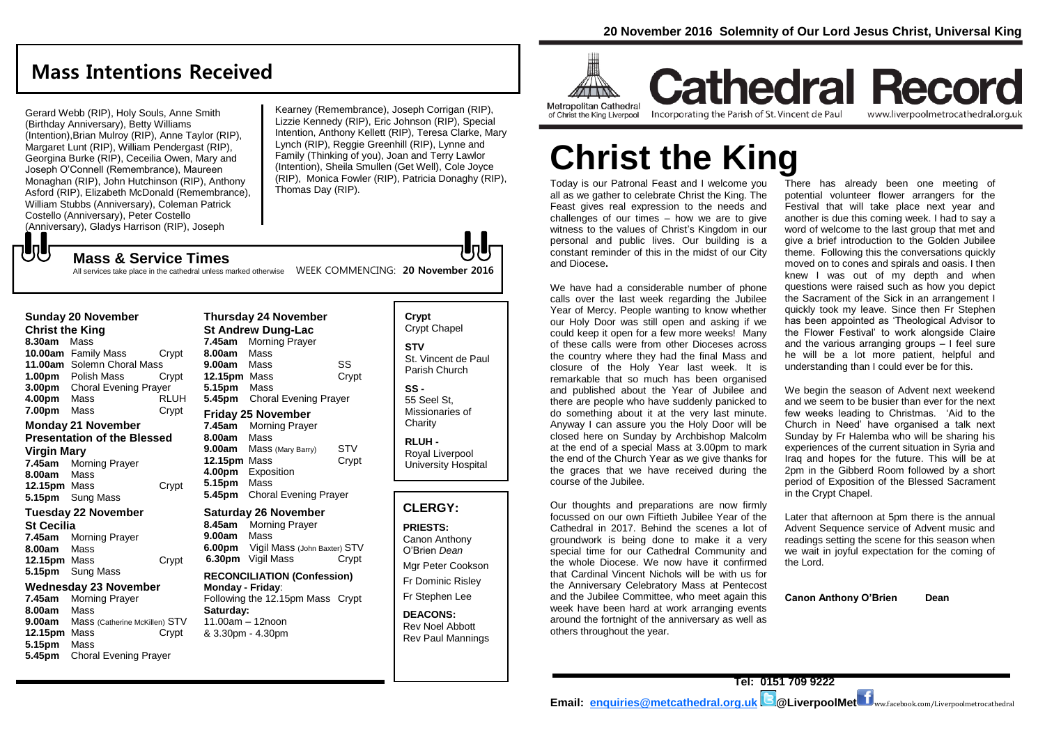### **Mass Intentions Received**

Gerard Webb (RIP), Holy Souls, Anne Smith (Birthday Anniversary), Betty Williams (Intention),Brian Mulroy (RIP), Anne Taylor (RIP), Margaret Lunt (RIP), William Pendergast (RIP), Georgina Burke (RIP), Ceceilia Owen, Mary and Joseph O'Connell (Remembrance), Maureen Monaghan (RIP), John Hutchinson (RIP), Anthony Asford (RIP), Elizabeth McDonald (Remembrance), William Stubbs (Anniversary), Coleman Patrick Costello (Anniversary), Peter Costello (Anniversary), Gladys Harrison (RIP), Joseph JJ

Kearney (Remembrance), Joseph Corrigan (RIP), Lizzie Kennedy (RIP), Eric Johnson (RIP), Special Intention, Anthony Kellett (RIP), Teresa Clarke, Mary Lynch (RIP), Reggie Greenhill (RIP), Lynne and Family (Thinking of you), Joan and Terry Lawlor (Intention), Sheila Smullen (Get Well), Cole Joyce (RIP), Monica Fowler (RIP), Patricia Donaghy (RIP), Thomas Day (RIP).

### **Mass & Service Times**

**5.15pm** Mass

**5.45pm** Choral Evening Prayer

All services take place in the cathedral unless marked otherwise MEEK COMMENCING: 20 November 2016

| Sunday 20 November<br><b>Christ the King</b> |                                                                                                                      |                      | <b>Thursday 24 November</b><br><b>St Andrew Dung-Lac</b>  |                                                                                                                |                     | Crypt<br>Crypt C                               |
|----------------------------------------------|----------------------------------------------------------------------------------------------------------------------|----------------------|-----------------------------------------------------------|----------------------------------------------------------------------------------------------------------------|---------------------|------------------------------------------------|
| 8.30am                                       | Mass<br>10.00am Family Mass<br>11.00am Solemn Choral Mass                                                            | Crypt                | 7.45am<br>8.00am<br>9.00am                                | <b>Morning Prayer</b><br>Mass<br>Mass                                                                          | SS                  | <b>STV</b><br>St. Vinc                         |
| 4.00pm                                       | 1.00pm Polish Mass<br><b>3.00pm</b> Choral Evening Prayer<br>Mass                                                    | Crypt<br><b>RLUH</b> | 12.15pm Mass<br>5.15pm Mass                               | <b>5.45pm</b> Choral Evening Prayer                                                                            | Crypt               | Parish (<br>SS -<br>55 Seel                    |
| <b>7.00pm</b> Mass                           |                                                                                                                      | Crypt                |                                                           | <b>Friday 25 November</b>                                                                                      |                     | Mission<br>Charity                             |
| Virgin Mary<br>8.00am<br><b>12.15pm</b> Mass | <b>Monday 21 November</b><br><b>Presentation of the Blessed</b><br>7.45am Morning Prayer<br>Mass<br>5.15pm Sung Mass | Crypt                | 7.45am<br>8.00am<br>9.00am<br>12.15pm Mass<br>5.15pm Mass | <b>Morning Prayer</b><br>Mass<br>Mass (Mary Barry)<br>4.00pm Exposition<br><b>5.45pm</b> Choral Evening Prayer | <b>STV</b><br>Crypt | RLUH-<br>Royal L<br>Univers                    |
| Tuesday 22 November                          |                                                                                                                      |                      | <b>Saturday 26 November</b>                               |                                                                                                                |                     | <b>CLER</b>                                    |
| St Cecilia<br>8.00am<br>12.15pm Mass         | 7.45am Morning Prayer<br>Mass                                                                                        | Crypt                | 8.45am<br>9.00am                                          | <b>Morning Prayer</b><br>Mass<br>6.00pm Vigil Mass (John Baxter) STV<br><b>6.30pm</b> Vigil Mass               | Crypt               | <b>PRIEST</b><br>Canon /<br>O'Brien<br>Mgr Pet |
| 5.15pm Sung Mass<br>Wednesday 23 November    |                                                                                                                      |                      | <b>RECONCILIATION (Confession)</b><br>Monday - Friday:    |                                                                                                                | Fr Domi             |                                                |
| 8.00am                                       | 7.45am Morning Prayer<br>Mass                                                                                        |                      | Saturday:                                                 | Following the 12.15pm Mass Crypt                                                                               |                     | Fr Steph                                       |
| 9.00am<br>12.15pm Mass                       | Mass (Catherine McKillen) STV                                                                                        | Crypt                | 11.00am - 12noon                                          | & 3.30pm - 4.30pm                                                                                              |                     | <b>DEACO</b><br>Rev No<br><b>Dav Dai</b>       |

Chapel<sup>\*</sup> ent de Paul Church St. aries of **RLUH -** Royal Liverpool sity Hospital

#### **GY:**

**PRIESTS:** Anthony Dean er Cookson inic Rislev hen Lee

**DNS:** 

el Abbott Rev Paul Mannings



**Cathedral Record** Incorporating the Parish of St. Vincent de Paul www.liverpoolmetrocathedral.org.uk

# **Christ the King**

Today is our Patronal Feast and I welcome you all as we gather to celebrate Christ the King. The Feast gives real expression to the needs and challenges of our times – how we are to give witness to the values of Christ's Kingdom in our personal and public lives. Our building is a constant reminder of this in the midst of our City and Diocese**.** 

We have had a considerable number of phone calls over the last week regarding the Jubilee Year of Mercy. People wanting to know whether our Holy Door was still open and asking if we could keep it open for a few more weeks! Many of these calls were from other Dioceses across the country where they had the final Mass and closure of the Holy Year last week. It is remarkable that so much has been organised and published about the Year of Jubilee and there are people who have suddenly panicked to do something about it at the very last minute. Anyway I can assure you the Holy Door will be closed here on Sunday by Archbishop Malcolm at the end of a special Mass at 3.00pm to mark the end of the Church Year as we give thanks for the graces that we have received during the course of the Jubilee.

Our thoughts and preparations are now firmly focussed on our own Fiftieth Jubilee Year of the Cathedral in 2017. Behind the scenes a lot of groundwork is being done to make it a very special time for our Cathedral Community and the whole Diocese. We now have it confirmed that Cardinal Vincent Nichols will be with us for the Anniversary Celebratory Mass at Pentecost and the Jubilee Committee, who meet again this week have been hard at work arranging events around the fortnight of the anniversary as well as others throughout the year.

There has already been one meeting of potential volunteer flower arrangers for the Festival that will take place next year and another is due this coming week. I had to say a word of welcome to the last group that met and give a brief introduction to the Golden Jubilee theme. Following this the conversations quickly moved on to cones and spirals and oasis. I then knew I was out of my depth and when questions were raised such as how you depict the Sacrament of the Sick in an arrangement I quickly took my leave. Since then Fr Stephen has been appointed as 'Theological Advisor to the Flower Festival' to work alongside Claire and the various arranging groups – I feel sure he will be a lot more patient, helpful and understanding than I could ever be for this.

We begin the season of Advent next weekend and we seem to be busier than ever for the next few weeks leading to Christmas. 'Aid to the Church in Need' have organised a talk next Sunday by Fr Halemba who will be sharing his experiences of the current situation in Syria and Iraq and hopes for the future. This will be at 2pm in the Gibberd Room followed by a short period of Exposition of the Blessed Sacrament in the Crypt Chapel.

Later that afternoon at 5pm there is the annual Advent Sequence service of Advent music and readings setting the scene for this season when we wait in joyful expectation for the coming of the Lord.

**Canon Anthony O'Brien Dean**